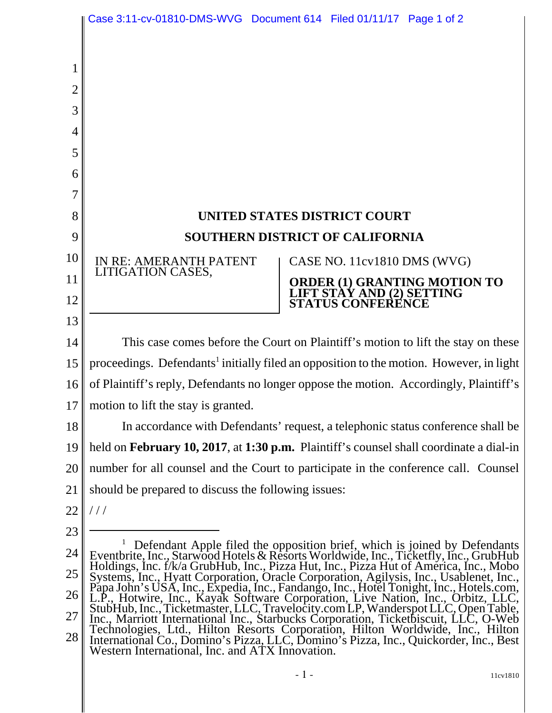|    | Case 3:11-cv-01810-DMS-WVG Document 614 Filed 01/11/17 Page 1 of 2                                                                                                               |
|----|----------------------------------------------------------------------------------------------------------------------------------------------------------------------------------|
|    |                                                                                                                                                                                  |
|    |                                                                                                                                                                                  |
| 2  |                                                                                                                                                                                  |
| 3  |                                                                                                                                                                                  |
| 4  |                                                                                                                                                                                  |
| 5  |                                                                                                                                                                                  |
| 6  |                                                                                                                                                                                  |
|    |                                                                                                                                                                                  |
| 8  | UNITED STATES DISTRICT COURT                                                                                                                                                     |
| 9  | <b>SOUTHERN DISTRICT OF CALIFORNIA</b>                                                                                                                                           |
| 10 | IN RE: AMERANTH PATENT<br>CASE NO. 11cv1810 DMS (WVG)                                                                                                                            |
| 11 | LITIGATION CASES,                                                                                                                                                                |
| 12 | <b>ORDER (1) GRANTING MOTION TO<br/>LIFT STAY AND (2) SETTING<br/>STATUS CONFERENCE</b>                                                                                          |
| 13 |                                                                                                                                                                                  |
| 14 | This case comes before the Court on Plaintiff's motion to lift the stay on these                                                                                                 |
| 15 | proceedings. Defendants <sup>1</sup> initially filed an opposition to the motion. However, in light                                                                              |
| 16 | of Plaintiff's reply, Defendants no longer oppose the motion. Accordingly, Plaintiff's                                                                                           |
| 17 | motion to lift the stay is granted.                                                                                                                                              |
| 18 | In accordance with Defendants' request, a telephonic status conference shall be                                                                                                  |
| 19 | held on <b>February 10, 2017</b> , at 1:30 p.m. Plaintiff's counsel shall coordinate a dial-in                                                                                   |
| 20 | number for all counsel and the Court to participate in the conference call. Counsel                                                                                              |
| 21 | should be prepared to discuss the following issues:                                                                                                                              |
| 22 | ///                                                                                                                                                                              |
| 23 | Defendant Apple filed the opposition brief, which is joined by Defendants                                                                                                        |
| 24 | Eventbrite, Inc., Starwood Hotels & Resorts Worldwide, Inc., Ticketfly, Inc., GrubHub<br>Holdings, Inc. f/k/a GrubHub, Inc., Pizza Hut, Inc., Pizza Hut of America, Inc., Mobo   |
| 25 | Systems, Inc., Hyatt Corporation, Oracle Corporation, Agilysis, Inc., Usablenet, Inc.,<br>Papa John's USA, Inc., Expedia, Inc., Fandango, Inc., Hotel Tonight, Inc., Hotels.com, |
| 26 | L.P., Hotwire, Inc., Kayak Software Corporation, Live Nation, Inc., Orbitz, LLC,<br>StubHub, Inc., Ticketmaster, LLC, Travelocity.com LP, Wanderspot LLC, Open Table,            |
| 27 | Inc., Marriott International Inc., Starbucks Corporation, Ticketbiscuit, LLC, O-Web<br>Technologies, Ltd., Hilton Resorts Corporation, Hilton Worldwide, Inc., Hilton            |
| 28 | International Co., Domino's Pizza, LLC, Domino's Pizza, Inc., Quickorder, Inc., Best<br>Western International, Inc. and ATX Innovation.                                          |